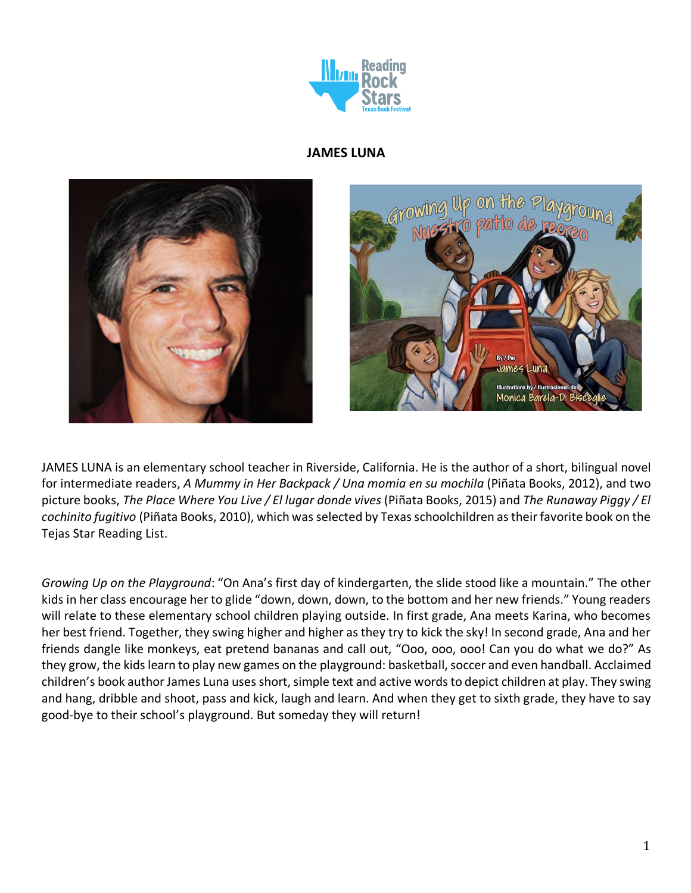

## **JAMES LUNA**



JAMES LUNA is an elementary school teacher in Riverside, California. He is the author of a short, bilingual novel for intermediate readers, *A Mummy in Her Backpack / Una momia en su mochila* (Piñata Books, 2012), and two picture books, *The Place Where You Live / El lugar donde vives* (Piñata Books, 2015) and *The Runaway Piggy / El cochinito fugitivo* (Piñata Books, 2010), which was selected by Texas schoolchildren as their favorite book on the Tejas Star Reading List.

*Growing Up on the Playground*: "On Ana's first day of kindergarten, the slide stood like a mountain." The other kids in her class encourage her to glide "down, down, down, to the bottom and her new friends." Young readers will relate to these elementary school children playing outside. In first grade, Ana meets Karina, who becomes her best friend. Together, they swing higher and higher as they try to kick the sky! In second grade, Ana and her friends dangle like monkeys, eat pretend bananas and call out, "Ooo, ooo, ooo! Can you do what we do?" As they grow, the kids learn to play new games on the playground: basketball, soccer and even handball. Acclaimed children's book author James Luna uses short, simple text and active words to depict children at play. They swing and hang, dribble and shoot, pass and kick, laugh and learn. And when they get to sixth grade, they have to say good-bye to their school's playground. But someday they will return!